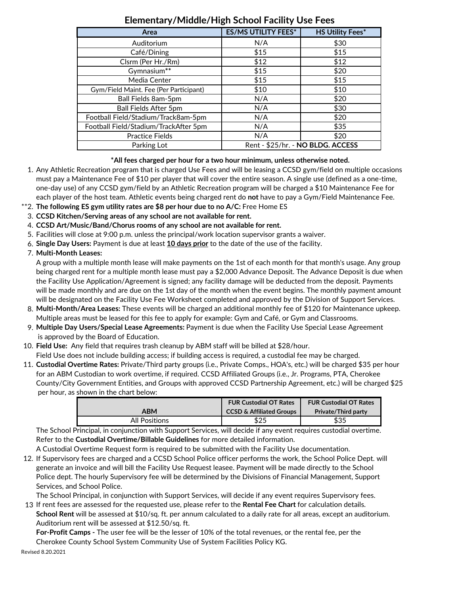| Area                                   | <b>ES/MS UTILITY FEES*</b>        | <b>HS Utility Fees*</b> |
|----------------------------------------|-----------------------------------|-------------------------|
| Auditorium                             | N/A                               | \$30                    |
| Café/Dining                            | \$15                              | \$15                    |
| Clsrm (Per Hr./Rm)                     | \$12                              | \$12                    |
| Gymnasium**                            | \$15                              | \$20                    |
| Media Center                           | \$15                              | \$15                    |
| Gym/Field Maint. Fee (Per Participant) | \$10                              | \$10                    |
| Ball Fields 8am-5pm                    | N/A                               | \$20                    |
| <b>Ball Fields After 5pm</b>           | N/A                               | \$30                    |
| Football Field/Stadium/Track8am-5pm    | N/A                               | \$20                    |
| Football Field/Stadium/TrackAfter 5pm  | N/A                               | \$35                    |
| Practice Fields                        | N/A                               | \$20                    |
| Parking Lot                            | Rent - \$25/hr. - NO BLDG. ACCESS |                         |

## **Elementary/Middle/High School Facility Use Fees**

## **\*All fees charged per hour for a two hour minimum, unless otherwise noted.**

- 1. Any Athletic Recreation program that is charged Use Fees and will be leasing a CCSD gym/field on multiple occasions must pay a Maintenance Fee of \$10 per player that will cover the entire season. A single use (defined as a one‐time, one‐day use) of any CCSD gym/field by an Athletic Recreation program will be charged a \$10 Maintenance Fee for each player of the host team. Athletic events being charged rent do **not** have to pay a Gym/Field Maintenance Fee.
- \*\*2. **The following ES gym utility rates are \$8 per hour due to no A/C:** Free Home ES
- 3. **CCSD Kitchen/Serving areas of any school are not available for rent.**
- 4. **CCSD Art/Music/Band/Chorus rooms of any school are not available for rent.**
- 5. Facilities will close at 9:00 p.m. unless the principal/work location supervisor grants a waiver.
- 6. **Single Day Users:** Payment is due at least **10 days prior** to the date of the use of the facility.
- 7. **Multi‐Month Leases:**

A group with a multiple month lease will make payments on the 1st of each month for that month's usage. Any group being charged rent for a multiple month lease must pay a \$2,000 Advance Deposit. The Advance Deposit is due when the Facility Use Application/Agreement is signed; any facility damage will be deducted from the deposit. Payments will be made monthly and are due on the 1st day of the month when the event begins. The monthly payment amount will be designated on the Facility Use Fee Worksheet completed and approved by the Division of Support Services.

- 8. **Multi‐Month/Area Leases:** These events will be charged an additional monthly fee of \$120 for Maintenance upkeep. Multiple areas must be leased for this fee to apply for example: Gym and Café, or Gym and Classrooms.
- 9. **Multiple Day Users/Special Lease Agreements:** Payment is due when the Facility Use Special Lease Agreement is approved by the Board of Education.
- 10. **Field Use:** Any field that requires trash cleanup by ABM staff will be billed at \$28/hour. Field Use does not include building access; if building access is required, a custodial fee may be charged.
- 11. **Custodial Overtime Rates:** Private/Third party groups (i.e., Private Comps., HOA's, etc.) will be charged \$35 per hour for an ABM Custodian to work overtime, if required. CCSD Affiliated Groups (i.e., Jr. Programs, PTA, Cherokee County/City Government Entities, and Groups with approved CCSD Partnership Agreement, etc.) will be charged \$25 per hour, as shown in the chart below:

|                      | <b>FUR Custodial OT Rates</b>       | <b>FUR Custodial OT Rates</b> |
|----------------------|-------------------------------------|-------------------------------|
| ABM                  | <b>CCSD &amp; Affiliated Groups</b> | <b>Private/Third party</b>    |
| <b>All Positions</b> | \$25                                | \$35                          |

The School Principal, in conjunction with Support Services, will decide if any event requires custodial overtime. Refer to the **Custodial Overtime/Billable Guidelines** for more detailed information.

A Custodial Overtime Request form is required to be submitted with the Facility Use documentation.

12. If Supervisory fees are charged and a CCSD School Police officer performs the work, the School Police Dept. will generate an invoice and will bill the Facility Use Request leasee. Payment will be made directly to the School Police dept. The hourly Supervisory fee will be determined by the Divisions of Financial Management, Support Services, and School Police.

The School Principal, in conjunction with Support Services, will decide if any event requires Supervisory fees. 13 If rent fees are assessed for the requested use, please refer to the **Rental Fee Chart** for calculation details.

**School Rent** will be assessed at \$10/sq. ft. per annum calculated to a daily rate for all areas, except an auditorium. Auditorium rent will be assessed at \$12.50/sq. ft.

**For‐Profit Camps ‐** The user fee will be the lesser of 10% of the total revenues, or the rental fee, per the Cherokee County School System Community Use of System Facilities Policy KG.

Revised 8.20.2021